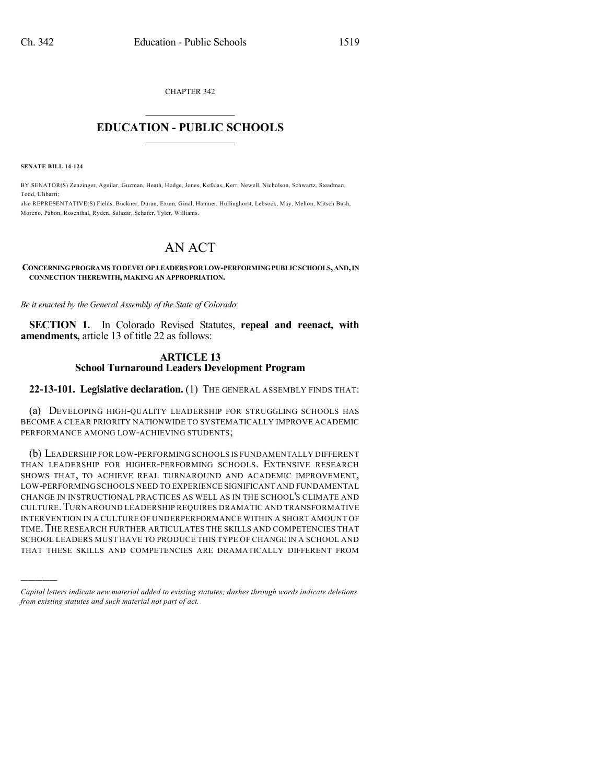CHAPTER 342

## $\mathcal{L}_\text{max}$  . The set of the set of the set of the set of the set of the set of the set of the set of the set of the set of the set of the set of the set of the set of the set of the set of the set of the set of the set **EDUCATION - PUBLIC SCHOOLS**  $\_$   $\_$   $\_$   $\_$   $\_$   $\_$   $\_$   $\_$   $\_$

**SENATE BILL 14-124**

)))))

BY SENATOR(S) Zenzinger, Aguilar, Guzman, Heath, Hodge, Jones, Kefalas, Kerr, Newell, Nicholson, Schwartz, Steadman, Todd, Ulibarri;

also REPRESENTATIVE(S) Fields, Buckner, Duran, Exum, Ginal, Hamner, Hullinghorst, Lebsock, May, Melton, Mitsch Bush, Moreno, Pabon, Rosenthal, Ryden, Salazar, Schafer, Tyler, Williams.

# AN ACT

#### **CONCERNINGPROGRAMS TODEVELOPLEADERSFORLOW-PERFORMINGPUBLICSCHOOLS,AND,IN CONNECTION THEREWITH, MAKING AN APPROPRIATION.**

*Be it enacted by the General Assembly of the State of Colorado:*

**SECTION 1.** In Colorado Revised Statutes, **repeal and reenact, with amendments,** article 13 of title 22 as follows:

### **ARTICLE 13 School Turnaround Leaders Development Program**

**22-13-101. Legislative declaration.** (1) THE GENERAL ASSEMBLY FINDS THAT:

(a) DEVELOPING HIGH-QUALITY LEADERSHIP FOR STRUGGLING SCHOOLS HAS BECOME A CLEAR PRIORITY NATIONWIDE TO SYSTEMATICALLY IMPROVE ACADEMIC PERFORMANCE AMONG LOW-ACHIEVING STUDENTS;

(b) LEADERSHIP FOR LOW-PERFORMING SCHOOLS IS FUNDAMENTALLY DIFFERENT THAN LEADERSHIP FOR HIGHER-PERFORMING SCHOOLS. EXTENSIVE RESEARCH SHOWS THAT, TO ACHIEVE REAL TURNAROUND AND ACADEMIC IMPROVEMENT, LOW-PERFORMING SCHOOLS NEED TO EXPERIENCE SIGNIFICANT AND FUNDAMENTAL CHANGE IN INSTRUCTIONAL PRACTICES AS WELL AS IN THE SCHOOL'S CLIMATE AND CULTURE.TURNAROUND LEADERSHIP REQUIRES DRAMATIC AND TRANSFORMATIVE INTERVENTION IN A CULTURE OF UNDERPERFORMANCE WITHIN A SHORT AMOUNT OF TIME.THE RESEARCH FURTHER ARTICULATES THE SKILLS AND COMPETENCIES THAT SCHOOL LEADERS MUST HAVE TO PRODUCE THIS TYPE OF CHANGE IN A SCHOOL AND THAT THESE SKILLS AND COMPETENCIES ARE DRAMATICALLY DIFFERENT FROM

*Capital letters indicate new material added to existing statutes; dashes through words indicate deletions from existing statutes and such material not part of act.*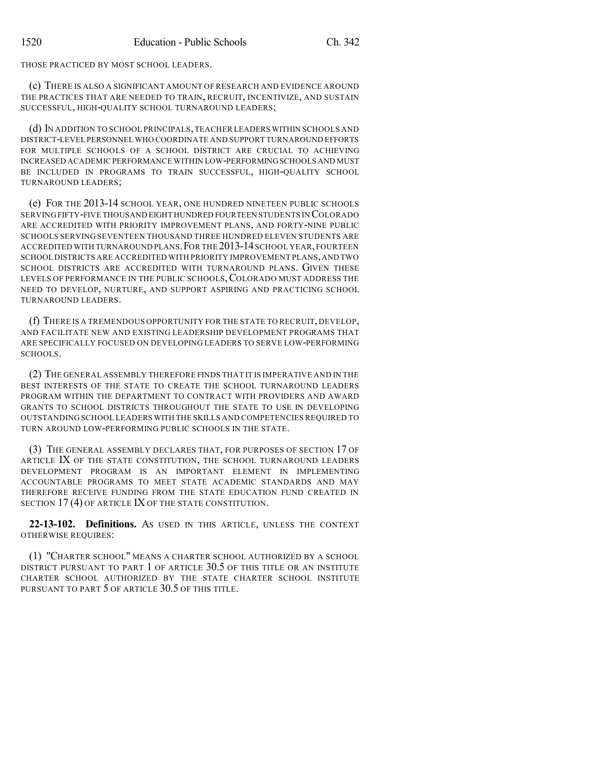THOSE PRACTICED BY MOST SCHOOL LEADERS.

(c) THERE IS ALSO A SIGNIFICANT AMOUNT OF RESEARCH AND EVIDENCE AROUND THE PRACTICES THAT ARE NEEDED TO TRAIN, RECRUIT, INCENTIVIZE, AND SUSTAIN SUCCESSFUL, HIGH-QUALITY SCHOOL TURNAROUND LEADERS;

(d) IN ADDITION TO SCHOOL PRINCIPALS,TEACHER LEADERS WITHIN SCHOOLS AND DISTRICT-LEVEL PERSONNEL WHO COORDINATE AND SUPPORT TURNAROUND EFFORTS FOR MULTIPLE SCHOOLS OF A SCHOOL DISTRICT ARE CRUCIAL TO ACHIEVING INCREASED ACADEMIC PERFORMANCE WITHIN LOW-PERFORMINGSCHOOLS AND MUST BE INCLUDED IN PROGRAMS TO TRAIN SUCCESSFUL, HIGH-QUALITY SCHOOL TURNAROUND LEADERS;

(e) FOR THE 2013-14 SCHOOL YEAR, ONE HUNDRED NINETEEN PUBLIC SCHOOLS SERVING FIFTY-FIVE THOUSAND EIGHT HUNDRED FOURTEEN STUDENTS IN COLORADO ARE ACCREDITED WITH PRIORITY IMPROVEMENT PLANS, AND FORTY-NINE PUBLIC SCHOOLS SERVING SEVENTEEN THOUSAND THREE HUNDRED ELEVEN STUDENTS ARE ACCREDITED WITH TURNAROUND PLANS.FOR THE 2013-14SCHOOL YEAR,FOURTEEN SCHOOL DISTRICTS ARE ACCREDITED WITH PRIORITY IMPROVEMENT PLANS,AND TWO SCHOOL DISTRICTS ARE ACCREDITED WITH TURNAROUND PLANS. GIVEN THESE LEVELS OF PERFORMANCE IN THE PUBLIC SCHOOLS, COLORADO MUST ADDRESS THE NEED TO DEVELOP, NURTURE, AND SUPPORT ASPIRING AND PRACTICING SCHOOL TURNAROUND LEADERS.

(f) THERE IS A TREMENDOUS OPPORTUNITY FOR THE STATE TO RECRUIT, DEVELOP, AND FACILITATE NEW AND EXISTING LEADERSHIP DEVELOPMENT PROGRAMS THAT ARE SPECIFICALLY FOCUSED ON DEVELOPING LEADERS TO SERVE LOW-PERFORMING SCHOOLS.

(2) THE GENERAL ASSEMBLY THEREFORE FINDS THAT IT IS IMPERATIVE AND IN THE BEST INTERESTS OF THE STATE TO CREATE THE SCHOOL TURNAROUND LEADERS PROGRAM WITHIN THE DEPARTMENT TO CONTRACT WITH PROVIDERS AND AWARD GRANTS TO SCHOOL DISTRICTS THROUGHOUT THE STATE TO USE IN DEVELOPING OUTSTANDING SCHOOL LEADERS WITH THE SKILLS AND COMPETENCIES REQUIRED TO TURN AROUND LOW-PERFORMING PUBLIC SCHOOLS IN THE STATE.

(3) THE GENERAL ASSEMBLY DECLARES THAT, FOR PURPOSES OF SECTION 17 OF ARTICLE IX OF THE STATE CONSTITUTION, THE SCHOOL TURNAROUND LEADERS DEVELOPMENT PROGRAM IS AN IMPORTANT ELEMENT IN IMPLEMENTING ACCOUNTABLE PROGRAMS TO MEET STATE ACADEMIC STANDARDS AND MAY THEREFORE RECEIVE FUNDING FROM THE STATE EDUCATION FUND CREATED IN SECTION 17(4) OF ARTICLE IX OF THE STATE CONSTITUTION.

**22-13-102. Definitions.** AS USED IN THIS ARTICLE, UNLESS THE CONTEXT OTHERWISE REQUIRES:

(1) "CHARTER SCHOOL" MEANS A CHARTER SCHOOL AUTHORIZED BY A SCHOOL DISTRICT PURSUANT TO PART 1 OF ARTICLE 30.5 OF THIS TITLE OR AN INSTITUTE CHARTER SCHOOL AUTHORIZED BY THE STATE CHARTER SCHOOL INSTITUTE PURSUANT TO PART 5 OF ARTICLE 30.5 OF THIS TITLE.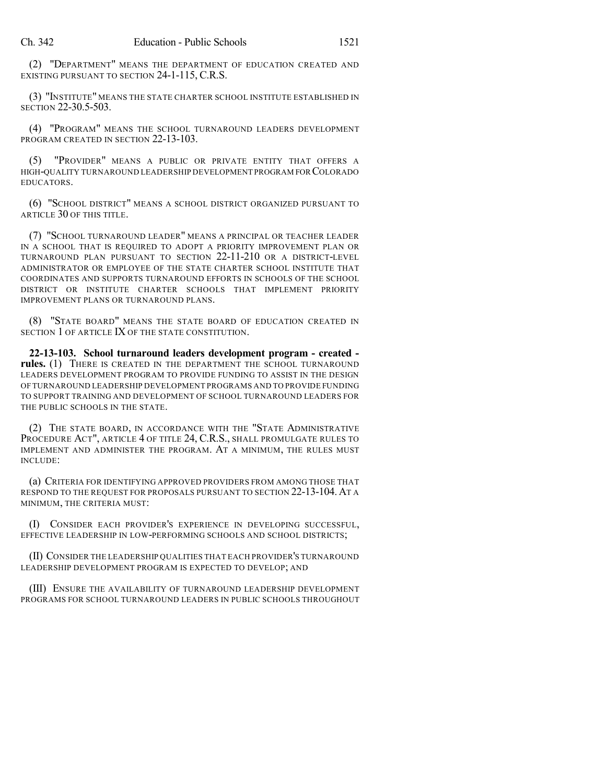(2) "DEPARTMENT" MEANS THE DEPARTMENT OF EDUCATION CREATED AND EXISTING PURSUANT TO SECTION 24-1-115, C.R.S.

(3) "INSTITUTE" MEANS THE STATE CHARTER SCHOOL INSTITUTE ESTABLISHED IN SECTION 22-30.5-503.

(4) "PROGRAM" MEANS THE SCHOOL TURNAROUND LEADERS DEVELOPMENT PROGRAM CREATED IN SECTION 22-13-103.

(5) "PROVIDER" MEANS A PUBLIC OR PRIVATE ENTITY THAT OFFERS A HIGH-QUALITY TURNAROUND LEADERSHIP DEVELOPMENT PROGRAM FOR COLORADO EDUCATORS.

(6) "SCHOOL DISTRICT" MEANS A SCHOOL DISTRICT ORGANIZED PURSUANT TO ARTICLE 30 OF THIS TITLE.

(7) "SCHOOL TURNAROUND LEADER" MEANS A PRINCIPAL OR TEACHER LEADER IN A SCHOOL THAT IS REQUIRED TO ADOPT A PRIORITY IMPROVEMENT PLAN OR TURNAROUND PLAN PURSUANT TO SECTION 22-11-210 OR A DISTRICT-LEVEL ADMINISTRATOR OR EMPLOYEE OF THE STATE CHARTER SCHOOL INSTITUTE THAT COORDINATES AND SUPPORTS TURNAROUND EFFORTS IN SCHOOLS OF THE SCHOOL DISTRICT OR INSTITUTE CHARTER SCHOOLS THAT IMPLEMENT PRIORITY IMPROVEMENT PLANS OR TURNAROUND PLANS.

(8) "STATE BOARD" MEANS THE STATE BOARD OF EDUCATION CREATED IN SECTION 1 OF ARTICLE **IX** OF THE STATE CONSTITUTION.

**22-13-103. School turnaround leaders development program - created rules.** (1) THERE IS CREATED IN THE DEPARTMENT THE SCHOOL TURNAROUND LEADERS DEVELOPMENT PROGRAM TO PROVIDE FUNDING TO ASSIST IN THE DESIGN OF TURNAROUND LEADERSHIP DEVELOPMENT PROGRAMS AND TO PROVIDE FUNDING TO SUPPORT TRAINING AND DEVELOPMENT OF SCHOOL TURNAROUND LEADERS FOR THE PUBLIC SCHOOLS IN THE STATE.

(2) THE STATE BOARD, IN ACCORDANCE WITH THE "STATE ADMINISTRATIVE PROCEDURE ACT", ARTICLE 4 OF TITLE 24, C.R.S., SHALL PROMULGATE RULES TO IMPLEMENT AND ADMINISTER THE PROGRAM. AT A MINIMUM, THE RULES MUST INCLUDE:

(a) CRITERIA FOR IDENTIFYING APPROVED PROVIDERS FROM AMONG THOSE THAT RESPOND TO THE REQUEST FOR PROPOSALS PURSUANT TO SECTION 22-13-104.AT A MINIMUM, THE CRITERIA MUST:

(I) CONSIDER EACH PROVIDER'S EXPERIENCE IN DEVELOPING SUCCESSFUL, EFFECTIVE LEADERSHIP IN LOW-PERFORMING SCHOOLS AND SCHOOL DISTRICTS;

(II) CONSIDER THE LEADERSHIP QUALITIES THAT EACH PROVIDER'S TURNAROUND LEADERSHIP DEVELOPMENT PROGRAM IS EXPECTED TO DEVELOP; AND

(III) ENSURE THE AVAILABILITY OF TURNAROUND LEADERSHIP DEVELOPMENT PROGRAMS FOR SCHOOL TURNAROUND LEADERS IN PUBLIC SCHOOLS THROUGHOUT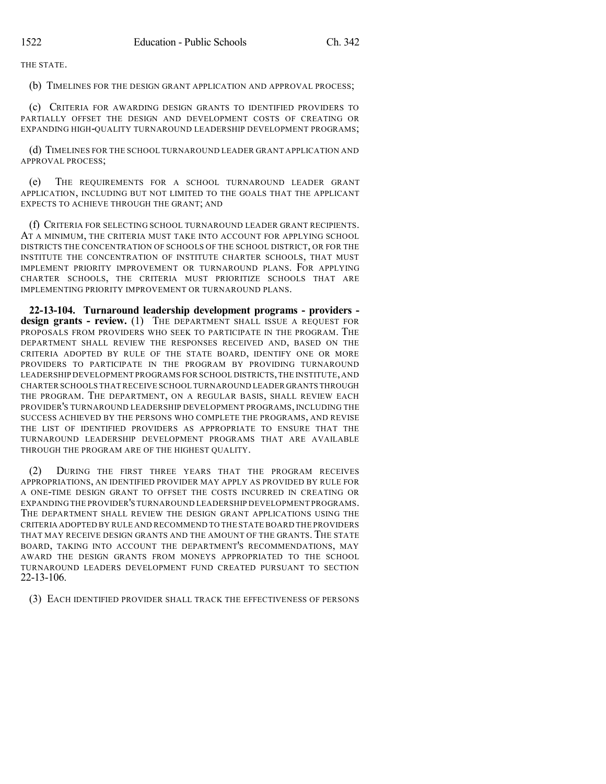THE STATE.

(b) TIMELINES FOR THE DESIGN GRANT APPLICATION AND APPROVAL PROCESS;

(c) CRITERIA FOR AWARDING DESIGN GRANTS TO IDENTIFIED PROVIDERS TO PARTIALLY OFFSET THE DESIGN AND DEVELOPMENT COSTS OF CREATING OR EXPANDING HIGH-QUALITY TURNAROUND LEADERSHIP DEVELOPMENT PROGRAMS;

(d) TIMELINES FOR THE SCHOOL TURNAROUND LEADER GRANT APPLICATION AND APPROVAL PROCESS;

(e) THE REQUIREMENTS FOR A SCHOOL TURNAROUND LEADER GRANT APPLICATION, INCLUDING BUT NOT LIMITED TO THE GOALS THAT THE APPLICANT EXPECTS TO ACHIEVE THROUGH THE GRANT; AND

(f) CRITERIA FOR SELECTING SCHOOL TURNAROUND LEADER GRANT RECIPIENTS. AT A MINIMUM, THE CRITERIA MUST TAKE INTO ACCOUNT FOR APPLYING SCHOOL DISTRICTS THE CONCENTRATION OF SCHOOLS OF THE SCHOOL DISTRICT, OR FOR THE INSTITUTE THE CONCENTRATION OF INSTITUTE CHARTER SCHOOLS, THAT MUST IMPLEMENT PRIORITY IMPROVEMENT OR TURNAROUND PLANS. FOR APPLYING CHARTER SCHOOLS, THE CRITERIA MUST PRIORITIZE SCHOOLS THAT ARE IMPLEMENTING PRIORITY IMPROVEMENT OR TURNAROUND PLANS.

**22-13-104. Turnaround leadership development programs - providers design grants - review.** (1) THE DEPARTMENT SHALL ISSUE A REQUEST FOR PROPOSALS FROM PROVIDERS WHO SEEK TO PARTICIPATE IN THE PROGRAM. THE DEPARTMENT SHALL REVIEW THE RESPONSES RECEIVED AND, BASED ON THE CRITERIA ADOPTED BY RULE OF THE STATE BOARD, IDENTIFY ONE OR MORE PROVIDERS TO PARTICIPATE IN THE PROGRAM BY PROVIDING TURNAROUND LEADERSHIP DEVELOPMENT PROGRAMS FOR SCHOOL DISTRICTS,THE INSTITUTE,AND CHARTER SCHOOLS THAT RECEIVE SCHOOL TURNAROUND LEADER GRANTS THROUGH THE PROGRAM. THE DEPARTMENT, ON A REGULAR BASIS, SHALL REVIEW EACH PROVIDER'S TURNAROUND LEADERSHIP DEVELOPMENT PROGRAMS, INCLUDING THE SUCCESS ACHIEVED BY THE PERSONS WHO COMPLETE THE PROGRAMS, AND REVISE THE LIST OF IDENTIFIED PROVIDERS AS APPROPRIATE TO ENSURE THAT THE TURNAROUND LEADERSHIP DEVELOPMENT PROGRAMS THAT ARE AVAILABLE THROUGH THE PROGRAM ARE OF THE HIGHEST QUALITY.

(2) DURING THE FIRST THREE YEARS THAT THE PROGRAM RECEIVES APPROPRIATIONS, AN IDENTIFIED PROVIDER MAY APPLY AS PROVIDED BY RULE FOR A ONE-TIME DESIGN GRANT TO OFFSET THE COSTS INCURRED IN CREATING OR EXPANDING THE PROVIDER'S TURNAROUND LEADERSHIP DEVELOPMENT PROGRAMS. THE DEPARTMENT SHALL REVIEW THE DESIGN GRANT APPLICATIONS USING THE CRITERIA ADOPTED BY RULE AND RECOMMEND TO THE STATE BOARD THE PROVIDERS THAT MAY RECEIVE DESIGN GRANTS AND THE AMOUNT OF THE GRANTS. THE STATE BOARD, TAKING INTO ACCOUNT THE DEPARTMENT'S RECOMMENDATIONS, MAY AWARD THE DESIGN GRANTS FROM MONEYS APPROPRIATED TO THE SCHOOL TURNAROUND LEADERS DEVELOPMENT FUND CREATED PURSUANT TO SECTION 22-13-106.

(3) EACH IDENTIFIED PROVIDER SHALL TRACK THE EFFECTIVENESS OF PERSONS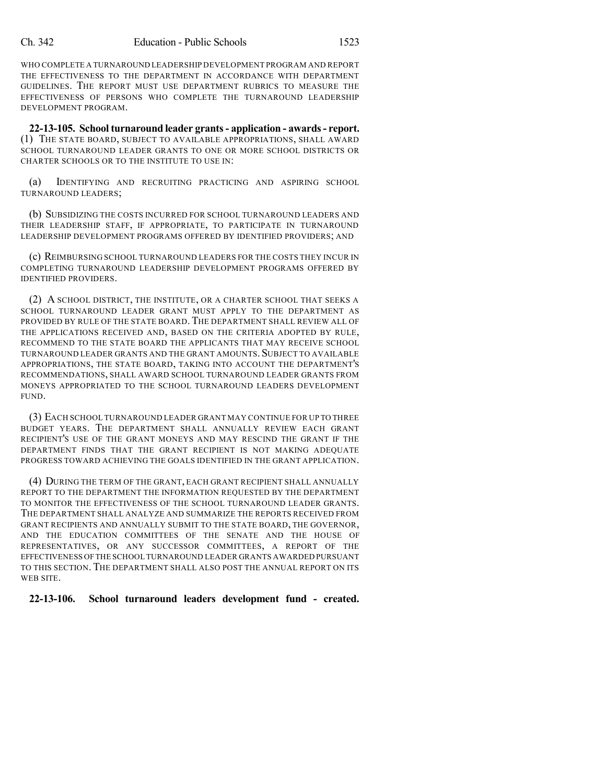WHO COMPLETE A TURNAROUND LEADERSHIP DEVELOPMENT PROGRAM AND REPORT THE EFFECTIVENESS TO THE DEPARTMENT IN ACCORDANCE WITH DEPARTMENT GUIDELINES. THE REPORT MUST USE DEPARTMENT RUBRICS TO MEASURE THE EFFECTIVENESS OF PERSONS WHO COMPLETE THE TURNAROUND LEADERSHIP DEVELOPMENT PROGRAM.

**22-13-105. School turnaround leader grants- application - awards- report.** (1) THE STATE BOARD, SUBJECT TO AVAILABLE APPROPRIATIONS, SHALL AWARD SCHOOL TURNAROUND LEADER GRANTS TO ONE OR MORE SCHOOL DISTRICTS OR CHARTER SCHOOLS OR TO THE INSTITUTE TO USE IN:

(a) IDENTIFYING AND RECRUITING PRACTICING AND ASPIRING SCHOOL TURNAROUND LEADERS;

(b) SUBSIDIZING THE COSTS INCURRED FOR SCHOOL TURNAROUND LEADERS AND THEIR LEADERSHIP STAFF, IF APPROPRIATE, TO PARTICIPATE IN TURNAROUND LEADERSHIP DEVELOPMENT PROGRAMS OFFERED BY IDENTIFIED PROVIDERS; AND

(c) REIMBURSING SCHOOL TURNAROUND LEADERS FOR THE COSTS THEY INCUR IN COMPLETING TURNAROUND LEADERSHIP DEVELOPMENT PROGRAMS OFFERED BY IDENTIFIED PROVIDERS.

(2) A SCHOOL DISTRICT, THE INSTITUTE, OR A CHARTER SCHOOL THAT SEEKS A SCHOOL TURNAROUND LEADER GRANT MUST APPLY TO THE DEPARTMENT AS PROVIDED BY RULE OF THE STATE BOARD. THE DEPARTMENT SHALL REVIEW ALL OF THE APPLICATIONS RECEIVED AND, BASED ON THE CRITERIA ADOPTED BY RULE, RECOMMEND TO THE STATE BOARD THE APPLICANTS THAT MAY RECEIVE SCHOOL TURNAROUND LEADER GRANTS AND THE GRANT AMOUNTS. SUBJECT TO AVAILABLE APPROPRIATIONS, THE STATE BOARD, TAKING INTO ACCOUNT THE DEPARTMENT'S RECOMMENDATIONS, SHALL AWARD SCHOOL TURNAROUND LEADER GRANTS FROM MONEYS APPROPRIATED TO THE SCHOOL TURNAROUND LEADERS DEVELOPMENT FUND.

(3) EACH SCHOOL TURNAROUND LEADER GRANT MAY CONTINUE FOR UP TO THREE BUDGET YEARS. THE DEPARTMENT SHALL ANNUALLY REVIEW EACH GRANT RECIPIENT'S USE OF THE GRANT MONEYS AND MAY RESCIND THE GRANT IF THE DEPARTMENT FINDS THAT THE GRANT RECIPIENT IS NOT MAKING ADEQUATE PROGRESS TOWARD ACHIEVING THE GOALS IDENTIFIED IN THE GRANT APPLICATION.

(4) DURING THE TERM OF THE GRANT, EACH GRANT RECIPIENT SHALL ANNUALLY REPORT TO THE DEPARTMENT THE INFORMATION REQUESTED BY THE DEPARTMENT TO MONITOR THE EFFECTIVENESS OF THE SCHOOL TURNAROUND LEADER GRANTS. THE DEPARTMENT SHALL ANALYZE AND SUMMARIZE THE REPORTS RECEIVED FROM GRANT RECIPIENTS AND ANNUALLY SUBMIT TO THE STATE BOARD, THE GOVERNOR, AND THE EDUCATION COMMITTEES OF THE SENATE AND THE HOUSE OF REPRESENTATIVES, OR ANY SUCCESSOR COMMITTEES, A REPORT OF THE EFFECTIVENESS OFTHE SCHOOL TURNAROUND LEADER GRANTS AWARDED PURSUANT TO THIS SECTION. THE DEPARTMENT SHALL ALSO POST THE ANNUAL REPORT ON ITS WEB SITE.

## **22-13-106. School turnaround leaders development fund - created.**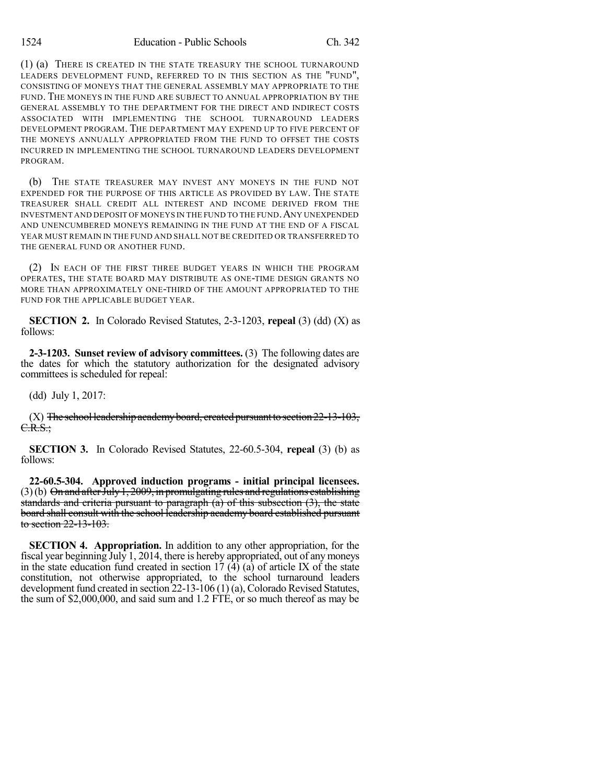(1) (a) THERE IS CREATED IN THE STATE TREASURY THE SCHOOL TURNAROUND LEADERS DEVELOPMENT FUND, REFERRED TO IN THIS SECTION AS THE "FUND", CONSISTING OF MONEYS THAT THE GENERAL ASSEMBLY MAY APPROPRIATE TO THE FUND. THE MONEYS IN THE FUND ARE SUBJECT TO ANNUAL APPROPRIATION BY THE GENERAL ASSEMBLY TO THE DEPARTMENT FOR THE DIRECT AND INDIRECT COSTS ASSOCIATED WITH IMPLEMENTING THE SCHOOL TURNAROUND LEADERS DEVELOPMENT PROGRAM. THE DEPARTMENT MAY EXPEND UP TO FIVE PERCENT OF THE MONEYS ANNUALLY APPROPRIATED FROM THE FUND TO OFFSET THE COSTS INCURRED IN IMPLEMENTING THE SCHOOL TURNAROUND LEADERS DEVELOPMENT PROGRAM.

(b) THE STATE TREASURER MAY INVEST ANY MONEYS IN THE FUND NOT EXPENDED FOR THE PURPOSE OF THIS ARTICLE AS PROVIDED BY LAW. THE STATE TREASURER SHALL CREDIT ALL INTEREST AND INCOME DERIVED FROM THE INVESTMENT AND DEPOSIT OF MONEYS IN THE FUND TO THE FUND.ANY UNEXPENDED AND UNENCUMBERED MONEYS REMAINING IN THE FUND AT THE END OF A FISCAL YEAR MUST REMAIN IN THE FUND AND SHALL NOT BE CREDITED OR TRANSFERRED TO THE GENERAL FUND OR ANOTHER FUND.

(2) IN EACH OF THE FIRST THREE BUDGET YEARS IN WHICH THE PROGRAM OPERATES, THE STATE BOARD MAY DISTRIBUTE AS ONE-TIME DESIGN GRANTS NO MORE THAN APPROXIMATELY ONE-THIRD OF THE AMOUNT APPROPRIATED TO THE FUND FOR THE APPLICABLE BUDGET YEAR.

**SECTION 2.** In Colorado Revised Statutes, 2-3-1203, **repeal** (3) (dd) (X) as follows:

**2-3-1203. Sunset review of advisory committees.** (3) The following dates are the dates for which the statutory authorization for the designated advisory committees is scheduled for repeal:

(dd) July 1, 2017:

(X) The school leadership academy board, created pursuant to section  $22$ -13-103,  $C.R.S.:$ 

**SECTION 3.** In Colorado Revised Statutes, 22-60.5-304, **repeal** (3) (b) as follows:

**22-60.5-304. Approved induction programs - initial principal licensees.**  $(3)(b)$  On and after July 1, 2009, in promulgating rules and regulations establishing standards and criteria pursuant to paragraph  $(a)$  of this subsection  $(3)$ , the state board shall consult with the school leadership academy board established pursuant to section 22-13-103.

**SECTION 4. Appropriation.** In addition to any other appropriation, for the fiscal year beginning July 1, 2014, there is hereby appropriated, out of any moneys in the state education fund created in section  $17 \text{ } (4)$  (a) of article IX of the state constitution, not otherwise appropriated, to the school turnaround leaders development fund created in section 22-13-106 (1) (a), Colorado Revised Statutes, the sum of \$2,000,000, and said sum and 1.2 FTE, or so much thereof as may be